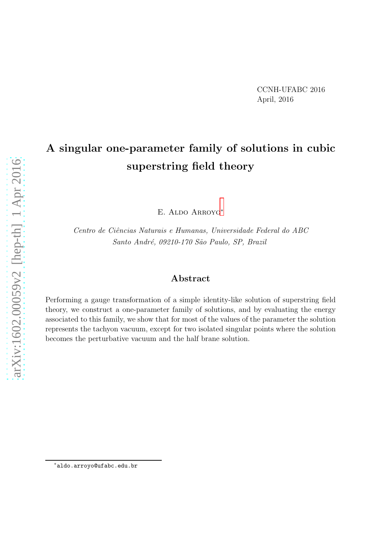# A singular one-parameter family of solutions in cubic superstring field theory

E. Aldo Arroyo[∗](#page-0-0)

Centro de Ciências Naturais e Humanas, Universidade Federal do ABC Santo André, 09210-170 São Paulo, SP, Brazil

#### Abstract

Performing a gauge transformation of a simple identity-like solution of superstring field theory, we construct a one-parameter family of solutions, and by evaluating the energy associated to this family, we show that for most of the values of the parameter the solution represents the tachyon vacuum, except for two isolated singular points where the solution becomes the perturbative vacuum and the half brane solution.

<span id="page-0-0"></span><sup>∗</sup>aldo.arroyo@ufabc.edu.br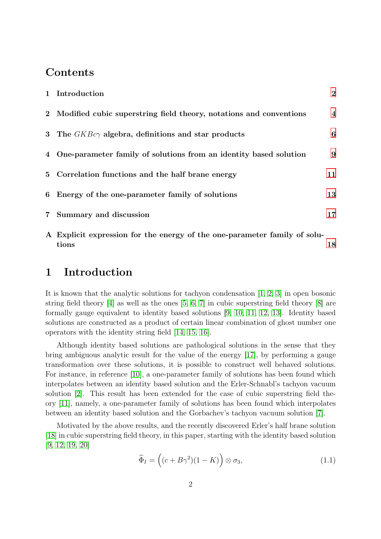### Contents

|            | 1 Introduction                                                       | $\overline{2}$   |
|------------|----------------------------------------------------------------------|------------------|
|            | 2 Modified cubic superstring field theory, notations and conventions | $\boldsymbol{4}$ |
|            | 3 The $GKBc\gamma$ algebra, definitions and star products            | 6                |
|            | 4 One-parameter family of solutions from an identity based solution  | 9                |
|            | 5 Correlation functions and the half brane energy                    | 11               |
|            | 6 Energy of the one-parameter family of solutions                    | 13               |
| $7\degree$ | Summary and discussion                                               | 17               |
|            |                                                                      |                  |

A Explicit expression for the energy of the one-parameter family of solutions [18](#page-17-0)

## <span id="page-1-0"></span>1 Introduction

It is known that the analytic solutions for tachyon condensation [\[1,](#page-20-0) [2,](#page-20-1) [3\]](#page-20-2) in open bosonic string field theory  $|4|$  as well as the ones  $|5, 6, 7|$  $|5, 6, 7|$  $|5, 6, 7|$  in cubic superstring field theory  $|8|$  are formally gauge equivalent to identity based solutions [\[9,](#page-20-8) [10,](#page-20-9) [11,](#page-20-10) [12,](#page-20-11) [13\]](#page-20-12). Identity based solutions are constructed as a product of certain linear combination of ghost number one operators with the identity string field [\[14,](#page-20-13) [15,](#page-20-14) [16\]](#page-20-15).

Although identity based solutions are pathological solutions in the sense that they bring ambiguous analytic result for the value of the energy [\[17\]](#page-21-0), by performing a gauge transformation over these solutions, it is possible to construct well behaved solutions. For instance, in reference [\[10\]](#page-20-9), a one-parameter family of solutions has been found which interpolates between an identity based solution and the Erler-Schnabl's tachyon vacuum solution [\[2\]](#page-20-1). This result has been extended for the case of cubic superstring field theory [\[11\]](#page-20-10), namely, a one-parameter family of solutions has been found which interpolates between an identity based solution and the Gorbachev's tachyon vacuum solution [\[7\]](#page-20-6).

Motivated by the above results, and the recently discovered Erler's half brane solution [\[18\]](#page-21-1) in cubic superstring field theory, in this paper, starting with the identity based solution [\[9,](#page-20-8) [12,](#page-20-11) [19,](#page-21-2) [20\]](#page-21-3)

$$
\widehat{\Phi}_I = \left( (c + B\gamma^2)(1 - K) \right) \otimes \sigma_3,\tag{1.1}
$$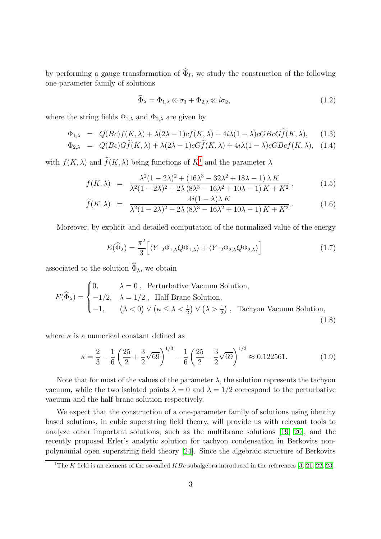by performing a gauge transformation of  $\widehat{\Phi}_I$ , we study the construction of the following one-parameter family of solutions

$$
\widehat{\Phi}_{\lambda} = \Phi_{1,\lambda} \otimes \sigma_3 + \Phi_{2,\lambda} \otimes i\sigma_2, \tag{1.2}
$$

where the string fields  $\Phi_{1,\lambda}$  and  $\Phi_{2,\lambda}$  are given by

$$
\Phi_{1,\lambda} = Q(Bc)f(K,\lambda) + \lambda(2\lambda - 1)cf(K,\lambda) + 4i\lambda(1 - \lambda)cGBCG\widetilde{f}(K,\lambda), \quad (1.3)
$$

$$
\Phi_{2,\lambda} = Q(Bc)G\widetilde{f}(K,\lambda) + \lambda(2\lambda - 1)cG\widetilde{f}(K,\lambda) + 4i\lambda(1 - \lambda)cGBcf(K,\lambda), \quad (1.4)
$$

with  $f(K, \lambda)$  and  $\widetilde{f}(K, \lambda)$  being functions of  $K^1$  $K^1$  and the parameter  $\lambda$ 

$$
f(K,\lambda) = \frac{\lambda^2 (1 - 2\lambda)^2 + (16\lambda^3 - 32\lambda^2 + 18\lambda - 1)\lambda K}{\lambda^2 (1 - 2\lambda)^2 + 2\lambda (8\lambda^3 - 16\lambda^2 + 10\lambda - 1) K + K^2},
$$
(1.5)

$$
\widetilde{f}(K,\lambda) = \frac{4i(1-\lambda)\lambda K}{\lambda^2(1-2\lambda)^2 + 2\lambda (8\lambda^3 - 16\lambda^2 + 10\lambda - 1) K + K^2}.
$$
\n(1.6)

Moreover, by explicit and detailed computation of the normalized value of the energy

$$
E(\widehat{\Phi}_{\lambda}) = \frac{\pi^2}{3} \Big[ \langle Y_{-2} \Phi_{1,\lambda} Q \Phi_{1,\lambda} \rangle + \langle Y_{-2} \Phi_{2,\lambda} Q \Phi_{2,\lambda} \rangle \Big] \tag{1.7}
$$

associated to the solution  $\widehat{\Phi}_{\lambda}$ , we obtain

$$
E(\widehat{\Phi}_{\lambda}) = \begin{cases} 0, & \lambda = 0, \text{ Perturbative vacuum Solution,} \\ -1/2, & \lambda = 1/2, \text{ Half Branch solution,} \\ -1, & (\lambda < 0) \lor (\kappa \le \lambda < \frac{1}{2}) \lor (\lambda > \frac{1}{2}), \text{ Tachyon Vacuum Solution,} \end{cases}
$$
(1.8)

where  $\kappa$  is a numerical constant defined as

$$
\kappa = \frac{2}{3} - \frac{1}{6} \left( \frac{25}{2} + \frac{3}{2} \sqrt{69} \right)^{1/3} - \frac{1}{6} \left( \frac{25}{2} - \frac{3}{2} \sqrt{69} \right)^{1/3} \approx 0.122561. \tag{1.9}
$$

Note that for most of the values of the parameter  $\lambda$ , the solution represents the tachyon vacuum, while the two isolated points  $\lambda = 0$  and  $\lambda = 1/2$  correspond to the perturbative vacuum and the half brane solution respectively.

We expect that the construction of a one-parameter family of solutions using identity based solutions, in cubic superstring field theory, will provide us with relevant tools to analyze other important solutions, such as the multibrane solutions [\[19,](#page-21-2) [20\]](#page-21-3), and the recently proposed Erler's analytic solution for tachyon condensation in Berkovits nonpolynomial open superstring field theory [\[24\]](#page-21-4). Since the algebraic structure of Berkovits

<span id="page-2-0"></span><sup>&</sup>lt;sup>1</sup>The K field is an element of the so-called  $KBc$  subalgebra introduced in the references [\[3,](#page-20-2) [21,](#page-21-5) [22,](#page-21-6) [23\]](#page-21-7).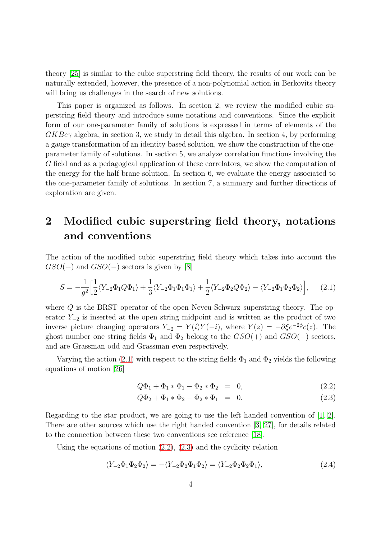theory [\[25\]](#page-21-8) is similar to the cubic superstring field theory, the results of our work can be naturally extended, however, the presence of a non-polynomial action in Berkovits theory will bring us challenges in the search of new solutions.

This paper is organized as follows. In section 2, we review the modified cubic superstring field theory and introduce some notations and conventions. Since the explicit form of our one-parameter family of solutions is expressed in terms of elements of the  $GKBc\gamma$  algebra, in section 3, we study in detail this algebra. In section 4, by performing a gauge transformation of an identity based solution, we show the construction of the oneparameter family of solutions. In section 5, we analyze correlation functions involving the G field and as a pedagogical application of these correlators, we show the computation of the energy for the half brane solution. In section 6, we evaluate the energy associated to the one-parameter family of solutions. In section 7, a summary and further directions of exploration are given.

## <span id="page-3-0"></span>2 Modified cubic superstring field theory, notations and conventions

The action of the modified cubic superstring field theory which takes into account the  $GSO(+)$  and  $GSO(-)$  sectors is given by [\[8\]](#page-20-7)

<span id="page-3-1"></span>
$$
S = -\frac{1}{g^2} \Big[ \frac{1}{2} \langle Y_{-2} \Phi_1 Q \Phi_1 \rangle + \frac{1}{3} \langle Y_{-2} \Phi_1 \Phi_1 \Phi_1 \rangle + \frac{1}{2} \langle Y_{-2} \Phi_2 Q \Phi_2 \rangle - \langle Y_{-2} \Phi_1 \Phi_2 \Phi_2 \rangle \Big], \tag{2.1}
$$

where Q is the BRST operator of the open Neveu-Schwarz superstring theory. The operator  $Y_{-2}$  is inserted at the open string midpoint and is written as the product of two inverse picture changing operators  $Y_{-2} = Y(i)Y(-i)$ , where  $Y(z) = -\partial \xi e^{-2\phi}c(z)$ . The ghost number one string fields  $\Phi_1$  and  $\Phi_2$  belong to the  $GSO(+)$  and  $GSO(-)$  sectors, and are Grassman odd and Grassman even respectively.

Varying the action [\(2.1\)](#page-3-1) with respect to the string fields  $\Phi_1$  and  $\Phi_2$  yields the following equations of motion [\[26\]](#page-21-9)

<span id="page-3-2"></span>
$$
Q\Phi_1 + \Phi_1 * \Phi_1 - \Phi_2 * \Phi_2 = 0, \qquad (2.2)
$$

$$
Q\Phi_2 + \Phi_1 * \Phi_2 - \Phi_2 * \Phi_1 = 0.
$$
 (2.3)

Regarding to the star product, we are going to use the left handed convention of [\[1,](#page-20-0) [2\]](#page-20-1). There are other sources which use the right handed convention [\[3,](#page-20-2) [27\]](#page-21-10), for details related to the connection between these two conventions see reference [\[18\]](#page-21-1).

Using the equations of motion [\(2.2\)](#page-3-2), [\(2.3\)](#page-3-2) and the cyclicity relation

$$
\langle Y_{-2}\Phi_1\Phi_2\Phi_2\rangle = -\langle Y_{-2}\Phi_2\Phi_1\Phi_2\rangle = \langle Y_{-2}\Phi_2\Phi_2\Phi_1\rangle, \tag{2.4}
$$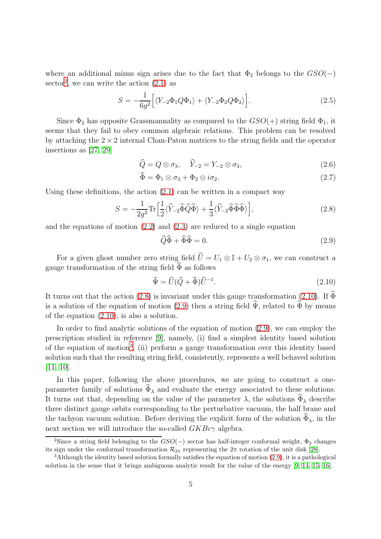where an additional minus sign arises due to the fact that  $\Phi_2$  belongs to the  $GSO(-)$ sector<sup>[2](#page-4-0)</sup>, we can write the action  $(2.1)$  as

<span id="page-4-5"></span>
$$
S = -\frac{1}{6g^2} \Big[ \langle Y_{-2} \Phi_1 Q \Phi_1 \rangle + \langle Y_{-2} \Phi_2 Q \Phi_2 \rangle \Big]. \tag{2.5}
$$

Since  $\Phi_2$  has opposite Grassmannality as compared to the  $GSO(+)$  string field  $\Phi_1$ , it seems that they fail to obey common algebraic relations. This problem can be resolved by attaching the  $2 \times 2$  internal Chan-Paton matrices to the string fields and the operator insertions as [\[27,](#page-21-10) [29\]](#page-21-11)

$$
\widehat{Q} = Q \otimes \sigma_3, \quad \widehat{Y}_{-2} = Y_{-2} \otimes \sigma_3,\tag{2.6}
$$

$$
\Phi = \Phi_1 \otimes \sigma_3 + \Phi_2 \otimes i\sigma_2. \tag{2.7}
$$

Using these definitions, the action  $(2.1)$  can be written in a compact way

<span id="page-4-1"></span>
$$
S = -\frac{1}{2g^2} \text{Tr} \left[ \frac{1}{2} \langle \hat{Y}_{-2} \hat{\Phi} \hat{Q} \hat{\Phi} \rangle + \frac{1}{3} \langle \hat{Y}_{-2} \hat{\Phi} \hat{\Phi} \hat{\Phi} \rangle \right],\tag{2.8}
$$

and the equations of motion [\(2.2\)](#page-3-2) and [\(2.3\)](#page-3-2) are reduced to a single equation

<span id="page-4-3"></span>
$$
\widehat{Q}\widehat{\Phi} + \widehat{\Phi}\widehat{\Phi} = 0. \tag{2.9}
$$

For a given ghost number zero string field  $\hat{U} = U_1 \otimes \mathbb{I} + U_2 \otimes \sigma_1$ , we can construct a gauge transformation of the string field  $\tilde{\Phi}$  as follows

<span id="page-4-2"></span>
$$
\widehat{\Psi} = \widehat{U}(\widehat{Q} + \widehat{\Phi})\widehat{U}^{-1}.
$$
\n(2.10)

It turns out that the action [\(2.8\)](#page-4-1) is invariant under this gauge transformation [\(2.10\)](#page-4-2). If  $\widehat{\Phi}$ is a solution of the equation of motion [\(2.9\)](#page-4-3) then a string field  $\hat{\Psi}$ , related to  $\hat{\Phi}$  by means of the equation [\(2.10\)](#page-4-2), is also a solution.

In order to find analytic solutions of the equation of motion [\(2.9\)](#page-4-3), we can employ the prescription studied in reference [\[9\]](#page-20-8), namely, (i) find a simplest identity based solution of the equation of motion[3](#page-4-4) , (ii) perform a gauge transformation over this identity based solution such that the resulting string field, consistently, represents a well behaved solution [\[11,](#page-20-10) [10\]](#page-20-9).

In this paper, following the above procedures, we are going to construct a oneparameter family of solutions  $\widehat{\Phi}_{\lambda}$  and evaluate the energy associated to these solutions. It turns out that, depending on the value of the parameter  $\lambda$ , the solutions  $\widehat{\Phi}_{\lambda}$  describe three distinct gauge orbits corresponding to the perturbative vacuum, the half brane and the tachyon vacuum solution. Before deriving the explicit form of the solution  $\widetilde{\Phi}_{\lambda}$ , in the next section we will introduce the so-called  $GKBc\gamma$  algebra.

<span id="page-4-0"></span><sup>&</sup>lt;sup>2</sup>Since a string field belonging to the  $GSO(-)$  sector has half-integer conformal weight,  $\Phi_2$  changes its sign under the conformal transformation  $\mathcal{R}_{2\pi}$  representing the  $2\pi$  rotation of the unit disk [\[28\]](#page-21-12).

<span id="page-4-4"></span> $3$ Although the identity based solution formally satisfies the equation of motion [\(2.9\)](#page-4-3), it is a pathological solution in the sense that it brings ambiguous analytic result for the value of the energy [\[9,](#page-20-8) [14,](#page-20-13) [15,](#page-20-14) [16\]](#page-20-15).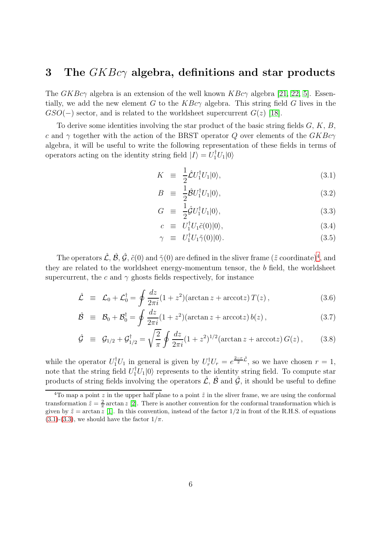### <span id="page-5-0"></span>3 The  $GKBc\gamma$  algebra, definitions and star products

The  $GKBc\gamma$  algebra is an extension of the well known  $KBc\gamma$  algebra [\[21,](#page-21-5) [22,](#page-21-6) [5\]](#page-20-4). Essentially, we add the new element G to the  $KBc\gamma$  algebra. This string field G lives in the  $GSO(-)$  sector, and is related to the worldsheet supercurrent  $G(z)$  [\[18\]](#page-21-1).

To derive some identities involving the star product of the basic string fields  $G, K, B$ , c and  $\gamma$  together with the action of the BRST operator Q over elements of the  $GKBc\gamma$ algebra, it will be useful to write the following representation of these fields in terms of operators acting on the identity string field  $|I\rangle = U_1^{\dagger} U_1 |0\rangle$ 

<span id="page-5-2"></span>
$$
K \equiv \frac{1}{2}\hat{\mathcal{L}}U_1^{\dagger}U_1|0\rangle, \tag{3.1}
$$

$$
B \equiv \frac{1}{2}\hat{\mathcal{B}}U_1^{\dagger}U_1|0\rangle, \tag{3.2}
$$

$$
G \equiv \frac{1}{2}\hat{\mathcal{G}}U_1^{\dagger}U_1|0\rangle, \tag{3.3}
$$

$$
c \equiv U_1^{\dagger} U_1 \tilde{c}(0) |0\rangle, \tag{3.4}
$$

$$
\gamma \equiv U_1^\dagger U_1 \tilde{\gamma}(0) |0\rangle. \tag{3.5}
$$

The operators  $\hat{\mathcal{L}}, \hat{\mathcal{B}}, \hat{\mathcal{G}}, \tilde{c}(0)$  and  $\tilde{\gamma}(0)$  are defined in the sliver frame  $(\tilde{z}$  coordinate)<sup>[4](#page-5-1)</sup>, and they are related to the worldsheet energy-momentum tensor, the b field, the worldsheet supercurrent, the c and  $\gamma$  ghosts fields respectively, for instance

$$
\hat{\mathcal{L}} \equiv \mathcal{L}_0 + \mathcal{L}_0^{\dagger} = \oint \frac{dz}{2\pi i} (1 + z^2) (\arctan z + \arccot z) T(z) , \qquad (3.6)
$$

$$
\hat{\mathcal{B}} \equiv \mathcal{B}_0 + \mathcal{B}_0^{\dagger} = \oint \frac{dz}{2\pi i} (1+z^2) (\arctan z + \arccot z) b(z) , \qquad (3.7)
$$

$$
\hat{\mathcal{G}} \equiv \mathcal{G}_{1/2} + \mathcal{G}_{1/2}^{\dagger} = \sqrt{\frac{2}{\pi}} \oint \frac{dz}{2\pi i} (1 + z^2)^{1/2} (\arctan z + \arccot z) G(z) , \qquad (3.8)
$$

while the operator  $U_1^{\dagger}U_1$  in general is given by  $U_r^{\dagger}U_r = e^{\frac{2-r}{2}\hat{\mathcal{L}}},$  so we have chosen  $r=1$ , note that the string field  $U_1^{\dagger}U_1|0\rangle$  represents to the identity string field. To compute star products of string fields involving the operators  $\hat{\mathcal{L}}, \hat{\mathcal{B}}$  and  $\hat{\mathcal{G}}$ , it should be useful to define

<span id="page-5-1"></span><sup>&</sup>lt;sup>4</sup>To map a point z in the upper half plane to a point  $\tilde{z}$  in the sliver frame, we are using the conformal transformation  $\tilde{z} = \frac{2}{\pi} \arctan z$  [\[2\]](#page-20-1). There is another convention for the conformal transformation which is given by  $\tilde{z} = \arctan z$  [\[1\]](#page-20-0). In this convention, instead of the factor 1/2 in front of the R.H.S. of equations  $(3.1)-(3.3)$  $(3.1)-(3.3)$  $(3.1)-(3.3)$ , we should have the factor  $1/\pi$ .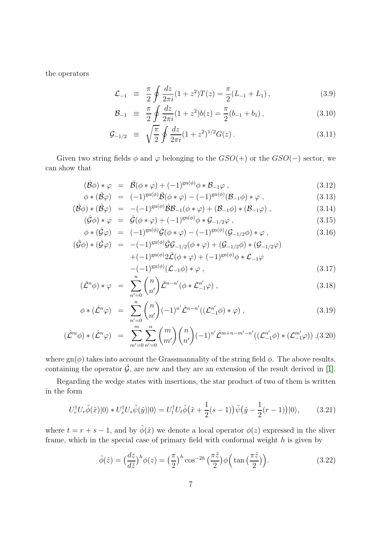the operators

$$
\mathcal{L}_{-1} \equiv \frac{\pi}{2} \oint \frac{dz}{2\pi i} (1+z^2) T(z) = \frac{\pi}{2} (L_{-1} + L_1), \qquad (3.9)
$$

$$
\mathcal{B}_{-1} \equiv \frac{\pi}{2} \oint \frac{dz}{2\pi i} (1+z^2) b(z) = \frac{\pi}{2} (b_{-1} + b_1) , \qquad (3.10)
$$

$$
\mathcal{G}_{-1/2} \equiv \sqrt{\frac{\pi}{2}} \oint \frac{dz}{2\pi i} (1+z^2)^{1/2} G(z) \,. \tag{3.11}
$$

Given two string fields  $\phi$  and  $\varphi$  belonging to the  $GSO(+)$  or the  $GSO(-)$  sector, we can show that

<span id="page-6-1"></span>
$$
(\hat{\mathcal{B}}\phi) * \varphi = \hat{\mathcal{B}}(\phi * \varphi) + (-1)^{\text{gn}(\phi)}\phi * \mathcal{B}_{-1}\varphi , \qquad (3.12)
$$

$$
\phi * (\hat{\mathcal{B}}\varphi) = (-1)^{\text{gn}(\phi)} \hat{\mathcal{B}}(\phi * \varphi) - (-1)^{\text{gn}(\phi)} (\mathcal{B}_{-1}\phi) * \varphi , \qquad (3.13)
$$

$$
(\hat{\mathcal{B}}\phi) * (\hat{\mathcal{B}}\varphi) = -(-1)^{\text{gn}(\phi)} \hat{\mathcal{B}} \mathcal{B}_{-1}(\phi * \varphi) + (\mathcal{B}_{-1}\phi) * (\mathcal{B}_{-1}\varphi) , \qquad (3.14)
$$

$$
(\hat{\mathcal{G}}\phi) * \varphi = \hat{\mathcal{G}}(\phi * \varphi) + (-1)^{\text{gn}(\phi)}\phi * \mathcal{G}_{-1/2}\varphi , \qquad (3.15)
$$

$$
\phi * (\hat{\mathcal{G}}\varphi) = (-1)^{\text{gn}(\phi)} \hat{\mathcal{G}}(\phi * \varphi) - (-1)^{\text{gn}(\phi)} (\mathcal{G}_{-1/2}\phi) * \varphi , \qquad (3.16)
$$

$$
(\hat{\mathcal{G}}\phi) * (\hat{\mathcal{G}}\varphi) = -(-1)^{\text{gn}(\phi)} \hat{\mathcal{G}} \mathcal{G}_{-1/2}(\phi * \varphi) + (\mathcal{G}_{-1/2}\phi) * (\mathcal{G}_{-1/2}\varphi)
$$
  
+  $(-1)^{\text{gn}(\phi)} 2\hat{\mathcal{L}}(\phi * \varphi) + (-1)^{\text{gn}(\phi)} \phi * \mathcal{L}_{-1}\varphi$   
- $(-1)^{\text{gn}(\phi)} (\mathcal{L}_{-1}\phi) * \varphi$  (3.17)

$$
-(-1)^{\operatorname{gn}(\phi)}(\mathcal{L}_{-1}\phi) * \varphi , \qquad (3.17)
$$

$$
(\hat{\mathcal{L}}^n \phi) * \varphi = \sum_{n'=0}^n \binom{n}{n'} \hat{\mathcal{L}}^{n-n'} (\phi * \mathcal{L}_{-1}^{n'} \varphi) , \qquad (3.18)
$$

$$
\phi * (\hat{\mathcal{L}}^n \varphi) = \sum_{n'=0}^n \binom{n}{n'} (-1)^{n'} \hat{\mathcal{L}}^{n-n'}((\mathcal{L}_{-1}^{n'} \phi) * \varphi) , \qquad (3.19)
$$

$$
(\hat{\mathcal{L}}^m \phi) * (\hat{\mathcal{L}}^n \phi) = \sum_{m'=0}^m \sum_{n'=0}^n {m \choose m'} {n \choose n'} (-1)^{n'} \hat{\mathcal{L}}^{m+n-m'-n'} ((\mathcal{L}_{-1}^{n'} \phi) * (\mathcal{L}_{-1}^{m'} \phi)) , (3.20)
$$

where  $\text{gn}(\phi)$  takes into account the Grassmannality of the string field  $\phi$ . The above results, containing the operator  $\hat{G}$ , are new and they are an extension of the result derived in [\[1\]](#page-20-0).

Regarding the wedge states with insertions, the star product of two of them is written in the form

<span id="page-6-0"></span>
$$
U_r^{\dagger} U_r \tilde{\phi}(\tilde{x}) |0\rangle * U_s^{\dagger} U_s \tilde{\psi}(\tilde{y}) |0\rangle = U_t^{\dagger} U_t \tilde{\phi}(\tilde{x} + \frac{1}{2}(s-1)) \tilde{\psi}(\tilde{y} - \frac{1}{2}(r-1)) |0\rangle, \tag{3.21}
$$

where  $t = r + s - 1$ , and by  $\tilde{\phi}(\tilde{x})$  we denote a local operator  $\phi(z)$  expressed in the sliver frame, which in the special case of primary field with conformal weight  $h$  is given by

$$
\tilde{\phi}(\tilde{z}) = \left(\frac{dz}{d\tilde{z}}\right)^h \phi(z) = \left(\frac{\pi}{2}\right)^h \cos^{-2h}\left(\frac{\pi\tilde{z}}{2}\right) \phi\left(\tan\left(\frac{\pi\tilde{z}}{2}\right)\right). \tag{3.22}
$$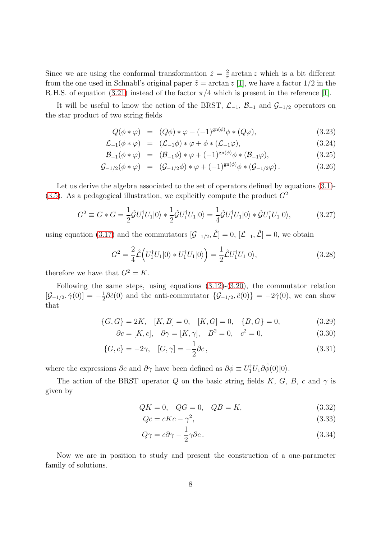Since we are using the conformal transformation  $\tilde{z} = \frac{2}{\pi}$  $\frac{2}{\pi} \arctan z$  which is a bit different from the one used in Schnabl's original paper  $\tilde{z} = \arctan z$  [\[1\]](#page-20-0), we have a factor 1/2 in the R.H.S. of equation [\(3.21\)](#page-6-0) instead of the factor  $\pi/4$  which is present in the reference [\[1\]](#page-20-0).

It will be useful to know the action of the BRST,  $\mathcal{L}_{-1}$ ,  $\mathcal{B}_{-1}$  and  $\mathcal{G}_{-1/2}$  operators on the star product of two string fields

$$
Q(\phi * \varphi) = (Q\phi) * \varphi + (-1)^{\text{gn}(\phi)} \phi * (Q\varphi), \qquad (3.23)
$$

$$
\mathcal{L}_{-1}(\phi * \varphi) = (\mathcal{L}_{-1}\phi) * \varphi + \phi * (\mathcal{L}_{-1}\varphi), \tag{3.24}
$$

$$
\mathcal{B}_{-1}(\phi * \varphi) = (\mathcal{B}_{-1}\phi) * \varphi + (-1)^{\text{gn}(\phi)}\phi * (\mathcal{B}_{-1}\varphi), \tag{3.25}
$$

$$
\mathcal{G}_{-1/2}(\phi * \varphi) = (\mathcal{G}_{-1/2}\phi) * \varphi + (-1)^{\text{gn}(\phi)}\phi * (\mathcal{G}_{-1/2}\varphi).
$$
 (3.26)

Let us derive the algebra associated to the set of operators defined by equations  $(3.1)$ - $(3.5)$ . As a pedagogical illustration, we explicitly compute the product  $G<sup>2</sup>$ 

$$
G^{2} \equiv G * G = \frac{1}{2} \hat{\mathcal{G}} U_{1}^{\dagger} U_{1} |0\rangle * \frac{1}{2} \hat{\mathcal{G}} U_{1}^{\dagger} U_{1} |0\rangle = \frac{1}{4} \hat{\mathcal{G}} U_{1}^{\dagger} U_{1} |0\rangle * \hat{\mathcal{G}} U_{1}^{\dagger} U_{1} |0\rangle, \tag{3.27}
$$

using equation [\(3.17\)](#page-6-1) and the commutators  $[\mathcal{G}_{-1/2}, \hat{\mathcal{L}}] = 0$ ,  $[\mathcal{L}_{-1}, \hat{\mathcal{L}}] = 0$ , we obtain

$$
G^2 = \frac{2}{4}\hat{\mathcal{L}}\left(U_1^\dagger U_1|0\rangle * U_1^\dagger U_1|0\rangle\right) = \frac{1}{2}\hat{\mathcal{L}}U_1^\dagger U_1|0\rangle,\tag{3.28}
$$

therefore we have that  $G^2 = K$ .

Following the same steps, using equations  $(3.12)-(3.20)$  $(3.12)-(3.20)$ , the commutator relation  $[\mathcal{G}_{-1/2}, \tilde{\gamma}(0)] = -\frac{1}{2}$  $\frac{1}{2}\partial\tilde{c}(0)$  and the anti-commutator  $\{\mathcal{G}_{-1/2}, \tilde{c}(0)\} = -2\tilde{\gamma}(0)$ , we can show that

$$
\{G, G\} = 2K, \quad [K, B] = 0, \quad [K, G] = 0, \quad \{B, G\} = 0,\tag{3.29}
$$

$$
\partial c = [K, c], \quad \partial \gamma = [K, \gamma], \quad B^2 = 0, \quad c^2 = 0,
$$
\n(3.30)

$$
\{G, c\} = -2\gamma, \quad [G, \gamma] = -\frac{1}{2}\partial c, \tag{3.31}
$$

where the expressions  $\partial c$  and  $\partial \gamma$  have been defined as  $\partial \phi \equiv U_1^{\dagger} U_1 \partial \tilde{\phi}(0) |0\rangle$ .

The action of the BRST operator Q on the basic string fields K, G, B, c and  $\gamma$  is given by

<span id="page-7-0"></span>
$$
QK = 0, \quad QG = 0, \quad QB = K,\tag{3.32}
$$

<span id="page-7-1"></span>
$$
Qc = cKc - \gamma^2,\tag{3.33}
$$

$$
Q\gamma = c\partial\gamma - \frac{1}{2}\gamma\partial c. \tag{3.34}
$$

Now we are in position to study and present the construction of a one-parameter family of solutions.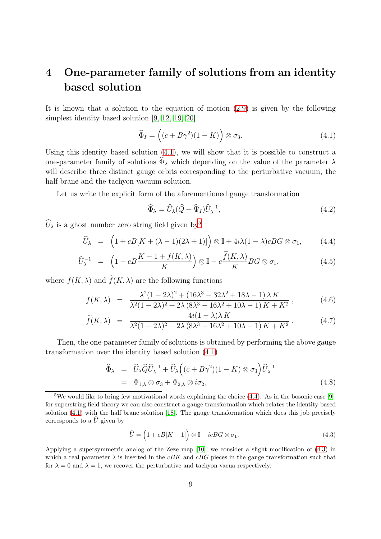# <span id="page-8-0"></span>4 One-parameter family of solutions from an identity based solution

It is known that a solution to the equation of motion [\(2.9\)](#page-4-3) is given by the following simplest identity based solution [\[9,](#page-20-8) [12,](#page-20-11) [19,](#page-21-2) [20\]](#page-21-3)

<span id="page-8-1"></span>
$$
\widehat{\Phi}_I = \left( (c + B\gamma^2)(1 - K) \right) \otimes \sigma_3. \tag{4.1}
$$

Using this identity based solution [\(4.1\)](#page-8-1), we will show that it is possible to construct a one-parameter family of solutions  $\widetilde{\Phi}_{\lambda}$  which depending on the value of the parameter  $\lambda$ will describe three distinct gauge orbits corresponding to the perturbative vacuum, the half brane and the tachyon vacuum solution.

Let us write the explicit form of the aforementioned gauge transformation

<span id="page-8-7"></span>
$$
\widehat{\Phi}_{\lambda} = \widehat{U}_{\lambda} (\widehat{Q} + \widehat{\Psi}_{I}) \widehat{U}_{\lambda}^{-1}, \tag{4.2}
$$

 $\widehat{U}_{\lambda}$  is a ghost number zero string field given by<sup>[5](#page-8-2)</sup>

<span id="page-8-3"></span>
$$
\widehat{U}_{\lambda} = \left(1 + cB[K + (\lambda - 1)(2\lambda + 1)]\right) \otimes \mathbb{I} + 4i\lambda (1 - \lambda)cBG \otimes \sigma_1, \tag{4.4}
$$

$$
\widehat{U}_{\lambda}^{-1} = \left(1 - cB \frac{K - 1 + f(K, \lambda)}{K}\right) \otimes \mathbb{I} - c\frac{\widetilde{f}(K, \lambda)}{K}BG \otimes \sigma_1,\tag{4.5}
$$

where  $f(K, \lambda)$  and  $\widetilde{f}(K, \lambda)$  are the following functions

<span id="page-8-6"></span>
$$
f(K,\lambda) = \frac{\lambda^2 (1 - 2\lambda)^2 + (16\lambda^3 - 32\lambda^2 + 18\lambda - 1)\lambda K}{\lambda^2 (1 - 2\lambda)^2 + 2\lambda (8\lambda^3 - 16\lambda^2 + 10\lambda - 1) K + K^2},
$$
(4.6)

$$
\widetilde{f}(K,\lambda) = \frac{4i(1-\lambda)\lambda K}{\lambda^2(1-2\lambda)^2 + 2\lambda (8\lambda^3 - 16\lambda^2 + 10\lambda - 1)K + K^2}.
$$
\n(4.7)

Then, the one-parameter family of solutions is obtained by performing the above gauge transformation over the identity based solution [\(4.1\)](#page-8-1)

<span id="page-8-5"></span>
$$
\widehat{\Phi}_{\lambda} = \widehat{U}_{\lambda} \widehat{Q} \widehat{U}_{\lambda}^{-1} + \widehat{U}_{\lambda} \Big( (c + B\gamma^2)(1 - K) \otimes \sigma_3 \Big) \widehat{U}_{\lambda}^{-1} \n= \Phi_{1,\lambda} \otimes \sigma_3 + \Phi_{2,\lambda} \otimes i \sigma_2,
$$
\n(4.8)

<span id="page-8-4"></span>
$$
\widehat{U} = \left(1 + cB[K - 1]\right) \otimes \mathbb{I} + icBG \otimes \sigma_1. \tag{4.3}
$$

Applying a supersymmetric analog of the Zeze map [\[10\]](#page-20-9), we consider a slight modification of [\(4.3\)](#page-8-4) in which a real parameter  $\lambda$  is inserted in the cBK and cBG pieces in the gauge transformation such that for  $\lambda = 0$  and  $\lambda = 1$ , we recover the perturbative and tachyon vacua respectively.

<span id="page-8-2"></span><sup>&</sup>lt;sup>5</sup>We would like to bring few motivational words explaining the choice  $(4.4)$ . As in the bosonic case [\[9\]](#page-20-8), for superstring field theory we can also construct a gauge transformation which relates the identity based solution [\(4.1\)](#page-8-1) with the half brane solution [\[18\]](#page-21-1). The gauge transformation which does this job precisely corresponds to a  $\hat{U}$  given by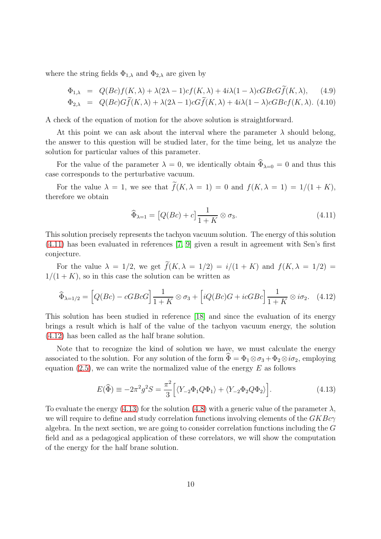where the string fields  $\Phi_{1,\lambda}$  and  $\Phi_{2,\lambda}$  are given by

$$
\Phi_{1,\lambda} = Q(Bc)f(K,\lambda) + \lambda(2\lambda - 1)cf(K,\lambda) + 4i\lambda(1 - \lambda)cGBCG\widetilde{f}(K,\lambda), \quad (4.9)
$$
  
\n
$$
\Phi_{2,\lambda} = Q(Bc)G\widetilde{f}(K,\lambda) + \lambda(2\lambda - 1)cG\widetilde{f}(K,\lambda) + 4i\lambda(1 - \lambda)cGBcf(K,\lambda). \quad (4.10)
$$

A check of the equation of motion for the above solution is straightforward.

At this point we can ask about the interval where the parameter  $\lambda$  should belong, the answer to this question will be studied later, for the time being, let us analyze the solution for particular values of this parameter.

For the value of the parameter  $\lambda = 0$ , we identically obtain  $\widehat{\Phi}_{\lambda=0} = 0$  and thus this case corresponds to the perturbative vacuum.

For the value  $\lambda = 1$ , we see that  $\widetilde{f}(K, \lambda = 1) = 0$  and  $f(K, \lambda = 1) = 1/(1 + K)$ , therefore we obtain

<span id="page-9-0"></span>
$$
\widehat{\Phi}_{\lambda=1} = \left[Q(Bc) + c\right] \frac{1}{1+K} \otimes \sigma_3. \tag{4.11}
$$

This solution precisely represents the tachyon vacuum solution. The energy of this solution [\(4.11\)](#page-9-0) has been evaluated in references [\[7,](#page-20-6) [9\]](#page-20-8) given a result in agreement with Sen's first conjecture.

For the value  $\lambda = 1/2$ , we get  $\widetilde{f}(K, \lambda = 1/2) = i/(1 + K)$  and  $f(K, \lambda = 1/2) =$  $1/(1 + K)$ , so in this case the solution can be written as

<span id="page-9-1"></span>
$$
\widehat{\Phi}_{\lambda=1/2} = \left[Q(Bc) - cGBcG\right] \frac{1}{1+K} \otimes \sigma_3 + \left[iQ(Bc)G + icGBc\right] \frac{1}{1+K} \otimes i\sigma_2. \tag{4.12}
$$

This solution has been studied in reference [\[18\]](#page-21-1) and since the evaluation of its energy brings a result which is half of the value of the tachyon vacuum energy, the solution [\(4.12\)](#page-9-1) has been called as the half brane solution.

Note that to recognize the kind of solution we have, we must calculate the energy associated to the solution. For any solution of the form  $\Phi = \Phi_1 \otimes \sigma_3 + \Phi_2 \otimes i \sigma_2$ , employing equation  $(2.5)$ , we can write the normalized value of the energy E as follows

<span id="page-9-2"></span>
$$
E(\widehat{\Phi}) \equiv -2\pi^2 g^2 S = \frac{\pi^2}{3} \Big[ \langle Y_{-2} \Phi_1 Q \Phi_1 \rangle + \langle Y_{-2} \Phi_2 Q \Phi_2 \rangle \Big]. \tag{4.13}
$$

To evaluate the energy [\(4.13\)](#page-9-2) for the solution [\(4.8\)](#page-8-5) with a generic value of the parameter  $\lambda$ , we will require to define and study correlation functions involving elements of the  $GKBc\gamma$ algebra. In the next section, we are going to consider correlation functions including the  $G$ field and as a pedagogical application of these correlators, we will show the computation of the energy for the half brane solution.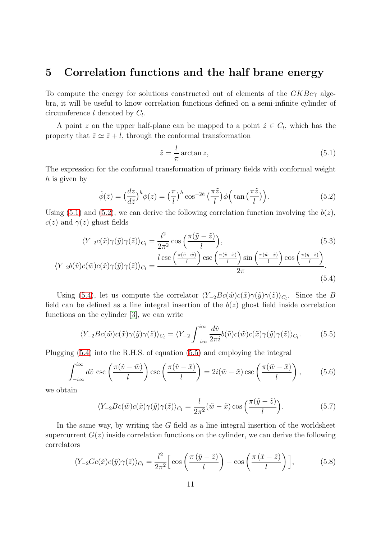### <span id="page-10-0"></span>5 Correlation functions and the half brane energy

To compute the energy for solutions constructed out of elements of the  $GKBc\gamma$  algebra, it will be useful to know correlation functions defined on a semi-infinite cylinder of circumference  $l$  denoted by  $C_l$ .

A point z on the upper half-plane can be mapped to a point  $\tilde{z} \in C_l$ , which has the property that  $\tilde{z} \simeq \tilde{z} + l$ , through the conformal transformation

<span id="page-10-5"></span><span id="page-10-3"></span><span id="page-10-1"></span>
$$
\tilde{z} = \frac{l}{\pi} \arctan z,\tag{5.1}
$$

The expression for the conformal transformation of primary fields with conformal weight h is given by

<span id="page-10-2"></span>
$$
\tilde{\phi}(\tilde{z}) = \left(\frac{dz}{d\tilde{z}}\right)^h \phi(z) = \left(\frac{\pi}{l}\right)^h \cos^{-2h}\left(\frac{\pi\tilde{z}}{l}\right) \phi\left(\tan\left(\frac{\pi\tilde{z}}{l}\right)\right). \tag{5.2}
$$

Using [\(5.1\)](#page-10-1) and [\(5.2\)](#page-10-2), we can derive the following correlation function involving the  $b(z)$ ,  $c(z)$  and  $\gamma(z)$  ghost fields

$$
\langle Y_{-2}c(\tilde{x})\gamma(\tilde{y})\gamma(\tilde{z})\rangle_{C_l} = \frac{l^2}{2\pi^2}\cos\left(\frac{\pi(\tilde{y}-\tilde{z})}{l}\right),\tag{5.3}
$$

$$
\langle Y_{-2}b(\tilde{v})c(\tilde{w})c(\tilde{x})\gamma(\tilde{y})\gamma(\tilde{z})\rangle_{C_l} = \frac{l\csc\left(\frac{\pi(\tilde{v}-\tilde{w})}{l}\right)\csc\left(\frac{\pi(\tilde{v}-\tilde{x})}{l}\right)\sin\left(\frac{\pi(\tilde{w}-\tilde{x})}{l}\right)\cos\left(\frac{\pi(\tilde{y}-\tilde{z})}{l}\right)}{2\pi}.
$$
\n(5.4)

Using [\(5.4\)](#page-10-3), let us compute the correlator  $\langle Y_{-2}Bc(\tilde{w})c(\tilde{x})\gamma(\tilde{y})\gamma(\tilde{z})\rangle_{C_l}$ . Since the B field can be defined as a line integral insertion of the  $b(z)$  ghost field inside correlation functions on the cylinder [\[3\]](#page-20-2), we can write

$$
\langle Y_{-2}Bc(\tilde{w})c(\tilde{x})\gamma(\tilde{y})\gamma(\tilde{z})\rangle_{C_l} = \langle Y_{-2}\int_{-i\infty}^{i\infty} \frac{d\tilde{v}}{2\pi i}b(\tilde{v})c(\tilde{w})c(\tilde{x})\gamma(\tilde{y})\gamma(\tilde{z})\rangle_{C_l}.
$$
 (5.5)

Plugging [\(5.4\)](#page-10-3) into the R.H.S. of equation [\(5.5\)](#page-10-4) and employing the integral

$$
\int_{-i\infty}^{i\infty} d\tilde{v} \csc\left(\frac{\pi(\tilde{v}-\tilde{w})}{l}\right) \csc\left(\frac{\pi(\tilde{v}-\tilde{x})}{l}\right) = 2i(\tilde{w}-\tilde{x}) \csc\left(\frac{\pi(\tilde{w}-\tilde{x})}{l}\right),\tag{5.6}
$$

we obtain

<span id="page-10-6"></span><span id="page-10-4"></span>
$$
\langle Y_{-2}Bc(\tilde{w})c(\tilde{x})\gamma(\tilde{y})\gamma(\tilde{z})\rangle_{C_l} = \frac{l}{2\pi^2}(\tilde{w}-\tilde{x})\cos\left(\frac{\pi(\tilde{y}-\tilde{z})}{l}\right).
$$
(5.7)

In the same way, by writing the G field as a line integral insertion of the worldsheet supercurrent  $G(z)$  inside correlation functions on the cylinder, we can derive the following correlators

$$
\langle Y_{-2}Gc(\tilde{x})c(\tilde{y})\gamma(\tilde{z})\rangle_{C_l} = \frac{l^2}{2\pi^2} \left[\cos\left(\frac{\pi(\tilde{y}-\tilde{z})}{l}\right) - \cos\left(\frac{\pi(\tilde{x}-\tilde{z})}{l}\right)\right],\tag{5.8}
$$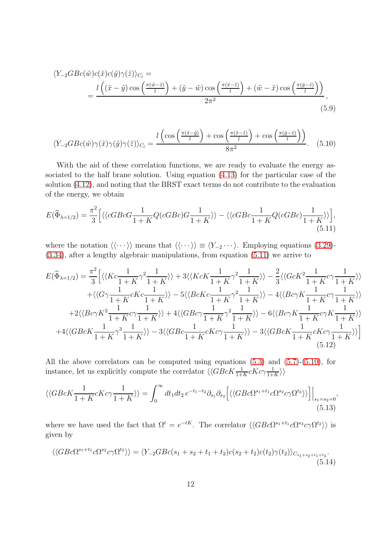$$
\langle Y_{-2}GBc(\tilde{w})c(\tilde{x})c(\tilde{y})\gamma(\tilde{z})\rangle_{C_l} =
$$
  
= 
$$
\frac{l((\tilde{x}-\tilde{y})\cos\left(\frac{\pi(\tilde{w}-\tilde{z})}{l}\right) + (\tilde{y}-\tilde{w})\cos\left(\frac{\pi(\tilde{x}-\tilde{z})}{l}\right) + (\tilde{w}-\tilde{x})\cos\left(\frac{\pi(\tilde{y}-\tilde{z})}{l}\right))}{2\pi^2},
$$
(5.9)

<span id="page-11-3"></span><span id="page-11-1"></span>
$$
\langle Y_{-2}GBc(\tilde{w})\gamma(\tilde{x})\gamma(\tilde{y})\gamma(\tilde{z})\rangle_{C_l} = \frac{l\left(\cos\left(\frac{\pi(\tilde{x}-\tilde{y})}{l}\right) + \cos\left(\frac{\pi(\tilde{x}-\tilde{z})}{l}\right) + \cos\left(\frac{\pi(\tilde{y}-\tilde{z})}{l}\right)\right)}{8\pi^2}.
$$
 (5.10)

With the aid of these correlation functions, we are ready to evaluate the energy associated to the half brane solution. Using equation [\(4.13\)](#page-9-2) for the particular case of the solution [\(4.12\)](#page-9-1), and noting that the BRST exact terms do not contribute to the evaluation of the energy, we obtain

<span id="page-11-0"></span>
$$
E(\widehat{\Phi}_{\lambda=1/2}) = \frac{\pi^2}{3} \Big[ \langle \langle cGBcG \frac{1}{1+K} Q(cGBc)G \frac{1}{1+K} \rangle \rangle - \langle \langle cGBc \frac{1}{1+K} Q(cGBc) \frac{1}{1+K} \rangle \rangle \Big], \tag{5.11}
$$

where the notation  $\langle \langle \cdots \rangle \rangle$  means that  $\langle \langle \cdots \rangle \rangle \equiv \langle Y_{-2} \cdots \rangle$ . Employing equations [\(3.29\)](#page-7-0)-[\(3.34\)](#page-7-1), after a lengthy algebraic manipulations, from equation [\(5.11\)](#page-11-0) we arrive to

$$
E(\widehat{\Phi}_{\lambda=1/2}) = \frac{\pi^2}{3} \Big[ \langle \langle Kc \frac{1}{1+K} \gamma^2 \frac{1}{1+K} \rangle \rangle + 3 \langle \langle KcK \frac{1}{1+K} \gamma^2 \frac{1}{1+K} \rangle \rangle - \frac{2}{3} \langle \langle GcK^2 \frac{1}{1+K} c \gamma \frac{1}{1+K} \rangle \rangle
$$
  
+  $\langle \langle G \gamma \frac{1}{1+K} cKc \frac{1}{1+K} \rangle \rangle - 5 \langle \langle BcKc \frac{1}{1+K} \gamma^2 \frac{1}{1+K} \rangle \rangle - 4 \langle \langle Bc \gamma K \frac{1}{1+K} c \gamma \frac{1}{1+K} \rangle \rangle$   
+  $2 \langle \langle Bc \gamma K^2 \frac{1}{1+K} c \gamma \frac{1}{1+K} \rangle \rangle + 4 \langle \langle GBc \gamma \frac{1}{1+K} \gamma^2 \frac{1}{1+K} \rangle \rangle - 6 \langle \langle Bc \gamma K \frac{1}{1+K} c \gamma K \frac{1}{1+K} \rangle \rangle$   
+  $4 \langle \langle GBcK \frac{1}{1+K} \gamma^3 \frac{1}{1+K} \rangle \rangle - 3 \langle \langle GBc \frac{1}{1+K} cKc \gamma \frac{1}{1+K} \rangle \rangle - 3 \langle \langle GBcK \frac{1}{1+K} cKc \gamma \frac{1}{1+K} \rangle \rangle \Big]$   
(5.12)

<span id="page-11-5"></span>All the above correlators can be computed using equations [\(5.3\)](#page-10-5) and [\(5.7\)](#page-10-6)-[\(5.10\)](#page-11-1), for instance, let us explicitly compute the correlator  $\langle \langle GBcK \frac{1}{1+K} cKc\gamma \frac{1}{1+K} \rangle \rangle$ 

$$
\langle\langle GBcK\frac{1}{1+K}cKc\gamma\frac{1}{1+K}\rangle\rangle = \int_0^\infty dt_1dt_2 \, e^{-t_1-t_2}\partial_{s_1}\partial_{s_2}\Big[\langle\langle GBc\Omega^{s_1+t_1}c\Omega^{s_2}c\gamma\Omega^{t_2}\rangle\rangle\Big]\Big|_{s_1=s_2=0},\tag{5.13}
$$

where we have used the fact that  $\Omega^t = e^{-tK}$ . The correlator  $\langle \langle GBc\Omega^{s_1+t_1}c\Omega^{s_2}c\gamma\Omega^{t_2} \rangle \rangle$  is given by

<span id="page-11-4"></span><span id="page-11-2"></span>
$$
\langle \langle G B c \Omega^{s_1+t_1} c \Omega^{s_2} c \gamma \Omega^{t_2} \rangle \rangle = \langle Y_{-2} G B c (s_1+s_2+t_1+t_2) c (s_2+t_2) c (t_2) \gamma(t_2) \rangle_{C_{s_1+s_2+t_1+t_2}}.
$$
\n(5.14)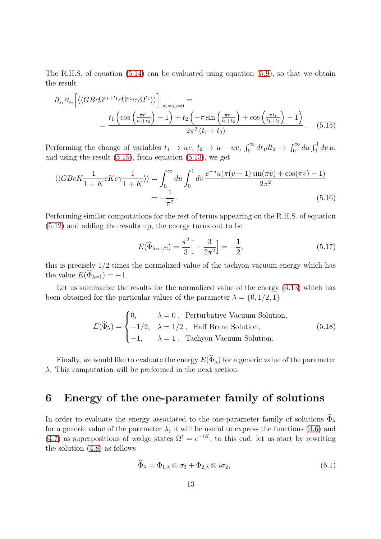The R.H.S. of equation  $(5.14)$  can be evaluated using equation  $(5.9)$ , so that we obtain the result

$$
\partial_{s_1} \partial_{s_2} \left[ \langle \langle GBc\Omega^{s_1+t_1} c\Omega^{s_2} c\gamma \Omega^{t_2} \rangle \rangle \right] \Big|_{s_1=s_2=0} = \frac{t_1 \left( \cos\left(\frac{\pi t_1}{t_1+t_2}\right) - 1 \right) + t_2 \left( -\pi \sin\left(\frac{\pi t_1}{t_1+t_2}\right) + \cos\left(\frac{\pi t_1}{t_1+t_2}\right) - 1 \right)}{2\pi^2 (t_1+t_2)}.
$$
(5.15)

Performing the change of variables  $t_1 \to uv$ ,  $t_2 \to u - uv$ ,  $\int_0^\infty dt_1 dt_2 \to \int_0^\infty du \int_0^1 dv u$ , and using the result [\(5.15\)](#page-12-1), from equation [\(5.13\)](#page-11-4), we get

$$
\langle \langle GBeK\frac{1}{1+K}cKc\gamma\frac{1}{1+K} \rangle \rangle = \int_0^\infty du \int_0^1 dv \frac{e^{-u}u(\pi(v-1)\sin(\pi v) + \cos(\pi v) - 1)}{2\pi^2}
$$

$$
= -\frac{1}{\pi^2}.
$$
(5.16)

Performing similar computations for the rest of terms appearing on the R.H.S. of equation [\(5.12\)](#page-11-5) and adding the results up, the energy turns out to be

<span id="page-12-3"></span><span id="page-12-1"></span>
$$
E(\widehat{\Phi}_{\lambda=1/2}) = \frac{\pi^2}{3} \Big[ -\frac{3}{2\pi^2} \Big] = -\frac{1}{2},\tag{5.17}
$$

this is precisely 1/2 times the normalized value of the tachyon vacuum energy which has the value  $E(\widehat{\Phi}_{\lambda=1}) = -1$ .

Let us summarize the results for the normalized value of the energy [\(4.13\)](#page-9-2) which has been obtained for the particular values of the parameter  $\lambda = \{0, 1/2, 1\}$ 

$$
E(\widehat{\Phi}_{\lambda}) = \begin{cases} 0, & \lambda = 0, \text{ Perturbative vacuum Solution,} \\ -1/2, & \lambda = 1/2, \text{ Half Branch Solution,} \\ -1, & \lambda = 1, \text{ Tachyon Vacuum Solution.} \end{cases}
$$
(5.18)

Finally, we would like to evaluate the energy  $E(\widehat{\Phi}_{\lambda})$  for a generic value of the parameter  $\lambda$ . This computation will be performed in the next section.

## <span id="page-12-0"></span>6 Energy of the one-parameter family of solutions

In order to evaluate the energy associated to the one-parameter family of solutions  $\widehat{\Phi}_\lambda$ for a generic value of the parameter  $\lambda$ , it will be useful to express the functions [\(4.6\)](#page-8-6) and [\(4.7\)](#page-8-6) as superpositions of wedge states  $\Omega^t = e^{-tK}$ , to this end, let us start by rewriting the solution [\(4.8\)](#page-8-5) as follows

<span id="page-12-2"></span>
$$
\Phi_{\lambda} = \Phi_{1,\lambda} \otimes \sigma_3 + \Phi_{2,\lambda} \otimes i\sigma_2, \tag{6.1}
$$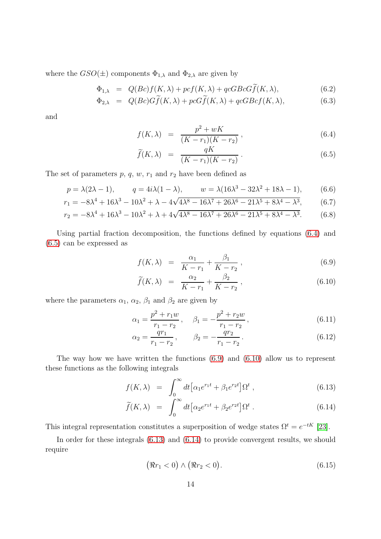where the  $GSO(\pm)$  components  $\Phi_{1,\lambda}$  and  $\Phi_{2,\lambda}$  are given by

$$
\Phi_{1,\lambda} = Q(Bc)f(K,\lambda) + pcf(K,\lambda) + qcGbcGf(K,\lambda), \qquad (6.2)
$$

$$
\Phi_{2,\lambda} = Q(Bc)Gf(K,\lambda) + pcGf(K,\lambda) + qcGBcf(K,\lambda), \tag{6.3}
$$

and

<span id="page-13-0"></span>
$$
f(K,\lambda) = \frac{p^2 + wK}{(K - r_1)(K - r_2)},
$$
\n(6.4)

<span id="page-13-6"></span><span id="page-13-3"></span>
$$
\widetilde{f}(K,\lambda) = \frac{qK}{(K-r_1)(K-r_2)}.
$$
\n(6.5)

The set of parameters  $p, q, w, r_1$  and  $r_2$  have been defined as

$$
p = \lambda(2\lambda - 1),
$$
  $q = 4i\lambda(1 - \lambda),$   $w = \lambda(16\lambda^3 - 32\lambda^2 + 18\lambda - 1),$  (6.6)

$$
r_1 = -8\lambda^4 + 16\lambda^3 - 10\lambda^2 + \lambda - 4\sqrt{4\lambda^8 - 16\lambda^7 + 26\lambda^6 - 21\lambda^5 + 8\lambda^4 - \lambda^3},
$$
 (6.7)

$$
r_2 = -8\lambda^4 + 16\lambda^3 - 10\lambda^2 + \lambda + 4\sqrt{4\lambda^8 - 16\lambda^7 + 26\lambda^6 - 21\lambda^5 + 8\lambda^4 - \lambda^3}.
$$
 (6.8)

Using partial fraction decomposition, the functions defined by equations [\(6.4\)](#page-13-0) and [\(6.5\)](#page-13-0) can be expressed as

<span id="page-13-4"></span><span id="page-13-1"></span>
$$
f(K,\lambda) = \frac{\alpha_1}{K - r_1} + \frac{\beta_1}{K - r_2}, \qquad (6.9)
$$

<span id="page-13-7"></span>
$$
\widetilde{f}(K,\lambda) = \frac{\alpha_2}{K - r_1} + \frac{\beta_2}{K - r_2},\tag{6.10}
$$

where the parameters  $\alpha_1$ ,  $\alpha_2$ ,  $\beta_1$  and  $\beta_2$  are given by

$$
\alpha_1 = \frac{p^2 + r_1 w}{r_1 - r_2}, \quad \beta_1 = -\frac{p^2 + r_2 w}{r_1 - r_2}, \tag{6.11}
$$

<span id="page-13-8"></span>
$$
\alpha_2 = \frac{qr_1}{r_1 - r_2}, \qquad \beta_2 = -\frac{qr_2}{r_1 - r_2}.
$$
\n(6.12)

The way how we have written the functions [\(6.9\)](#page-13-1) and [\(6.10\)](#page-13-1) allow us to represent these functions as the following integrals

<span id="page-13-2"></span>
$$
f(K,\lambda) = \int_0^\infty dt \left[ \alpha_1 e^{r_1 t} + \beta_1 e^{r_2 t} \right] \Omega^t , \qquad (6.13)
$$

$$
\widetilde{f}(K,\lambda) = \int_0^\infty dt \left[ \alpha_2 e^{r_1 t} + \beta_2 e^{r_2 t} \right] \Omega^t \,. \tag{6.14}
$$

This integral representation constitutes a superposition of wedge states  $\Omega^t = e^{-tK}$  [\[23\]](#page-21-7).

In order for these integrals  $(6.13)$  and  $(6.14)$  to provide convergent results, we should require

<span id="page-13-5"></span>
$$
(\Re r_1 < 0) \land (\Re r_2 < 0). \tag{6.15}
$$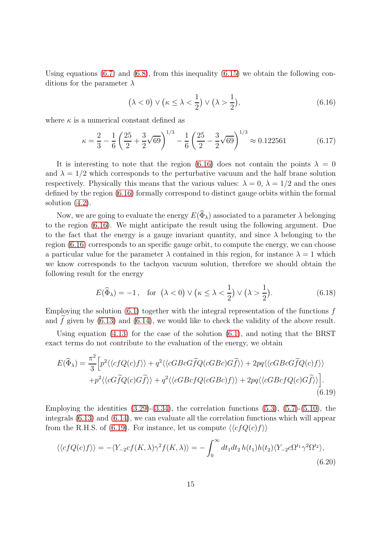Using equations  $(6.7)$  and  $(6.8)$ , from this inequality  $(6.15)$  we obtain the following conditions for the parameter  $\lambda$ 

<span id="page-14-0"></span>
$$
(\lambda < 0) \lor (\kappa \leq \lambda < \frac{1}{2}) \lor (\lambda > \frac{1}{2}),\tag{6.16}
$$

where  $\kappa$  is a numerical constant defined as

$$
\kappa = \frac{2}{3} - \frac{1}{6} \left( \frac{25}{2} + \frac{3}{2} \sqrt{69} \right)^{1/3} - \frac{1}{6} \left( \frac{25}{2} - \frac{3}{2} \sqrt{69} \right)^{1/3} \approx 0.122561 \tag{6.17}
$$

It is interesting to note that the region [\(6.16\)](#page-14-0) does not contain the points  $\lambda = 0$ and  $\lambda = 1/2$  which corresponds to the perturbative vacuum and the half brane solution respectively. Physically this means that the various values:  $\lambda = 0$ ,  $\lambda = 1/2$  and the ones defined by the region [\(6.16\)](#page-14-0) formally correspond to distinct gauge orbits within the formal solution  $(4.2)$ .

Now, we are going to evaluate the energy  $E(\widehat{\Phi}_{\lambda})$  associated to a parameter  $\lambda$  belonging to the region [\(6.16\)](#page-14-0). We might anticipate the result using the following argument. Due to the fact that the energy is a gauge invariant quantity, and since  $\lambda$  belonging to the region [\(6.16\)](#page-14-0) corresponds to an specific gauge orbit, to compute the energy, we can choose a particular value for the parameter  $\lambda$  contained in this region, for instance  $\lambda = 1$  which we know corresponds to the tachyon vacuum solution, therefore we should obtain the following result for the energy

<span id="page-14-1"></span>
$$
E(\widehat{\Phi}_{\lambda}) = -1, \text{ for } (\lambda < 0) \vee (\kappa \le \lambda < \frac{1}{2}) \vee (\lambda > \frac{1}{2}). \tag{6.18}
$$

Employing the solution  $(6.1)$  together with the integral representation of the functions f and f given by  $(6.13)$  and  $(6.14)$ , we would like to check the validity of the above result.

Using equation  $(4.13)$  for the case of the solution  $(6.1)$ , and noting that the BRST exact terms do not contribute to the evaluation of the energy, we obtain

$$
E(\widehat{\Phi}_{\lambda}) = \frac{\pi^2}{3} \Big[ p^2 \langle \langle cfQ(c)f \rangle \rangle + q^2 \langle \langle cGBcG\widetilde{f}Q(cGBc)G\widetilde{f} \rangle \rangle + 2pq \langle \langle cGBcG\widetilde{f}Q(c)f \rangle \rangle + p^2 \langle \langle cG\widetilde{f}Q(c)G\widetilde{f} \rangle \rangle + q^2 \langle \langle cGBcfcQ(cGBc)f \rangle \rangle + 2pq \langle \langle cGBcfcQ(c)G\widetilde{f} \rangle \rangle \Big].
$$
(6.19)

Employing the identities  $(3.29)-(3.34)$  $(3.29)-(3.34)$ , the correlation functions  $(5.3)$ ,  $(5.7)-(5.10)$  $(5.7)-(5.10)$ , the integrals [\(6.13\)](#page-13-2) and [\(6.14\)](#page-13-2), we can evaluate all the correlation functions which will appear from the R.H.S. of [\(6.19\)](#page-14-1). For instance, let us compute  $\langle \langle cfQ(c)f \rangle \rangle$ 

<span id="page-14-2"></span>
$$
\langle \langle cfQ(c)f \rangle \rangle = -\langle Y_{-2}cf(K,\lambda)\gamma^2 f(K,\lambda) \rangle = -\int_0^\infty dt_1 dt_2 h(t_1)h(t_2) \langle Y_{-2}c\Omega^{t_1}\gamma^2 \Omega^{t_2} \rangle, \tag{6.20}
$$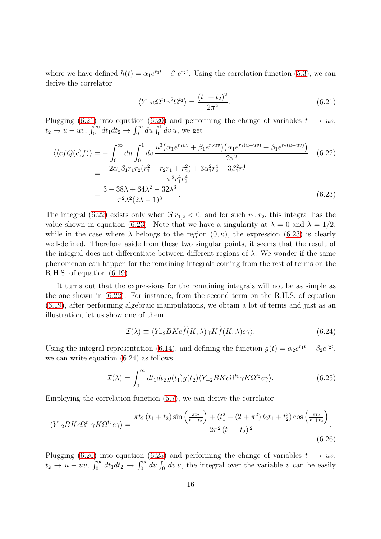where we have defined  $h(t) = \alpha_1 e^{r_1 t} + \beta_1 e^{r_2 t}$ . Using the correlation function [\(5.3\)](#page-10-5), we can derive the correlator

<span id="page-15-2"></span><span id="page-15-1"></span><span id="page-15-0"></span>
$$
\langle Y_{-2}c\Omega^{t_1}\gamma^2\Omega^{t_2}\rangle = \frac{(t_1+t_2)^2}{2\pi^2}.
$$
\n(6.21)

Plugging [\(6.21\)](#page-15-0) into equation [\(6.20\)](#page-14-2) and performing the change of variables  $t_1 \rightarrow uv$ ,  $t_2 \rightarrow u - uv$ ,  $\int_0^\infty dt_1 dt_2 \rightarrow \int_0^\infty du \int_0^1 dv u$ , we get

$$
\langle \langle cfQ(c)f \rangle \rangle = -\int_0^\infty du \int_0^1 dv \frac{u^3(\alpha_1 e^{r_1 uv} + \beta_1 e^{r_2 uv}) (\alpha_1 e^{r_1(u - uv)} + \beta_1 e^{r_2(u - uv)})}{2\pi^2}
$$
(6.22)  
= 
$$
-\frac{2\alpha_1 \beta_1 r_1 r_2 (r_1^2 + r_2 r_1 + r_2^2) + 3\alpha_1^2 r_2^4 + 3\beta_1^2 r_1^4}{\pi^2 r_1^4 r_2^4}
$$
  
= 
$$
\frac{3 - 38\lambda + 64\lambda^2 - 32\lambda^3}{\pi^2 \lambda^2 (2\lambda - 1)^3}.
$$
(6.23)

The integral [\(6.22\)](#page-15-1) exists only when  $\Re r_{1,2} < 0$ , and for such  $r_1, r_2$ , this integral has the value shown in equation [\(6.23\)](#page-15-2). Note that we have a singularity at  $\lambda = 0$  and  $\lambda = 1/2$ , while in the case where  $\lambda$  belongs to the region  $(0, \kappa)$ , the expression  $(6.23)$  is clearly well-defined. Therefore aside from these two singular points, it seems that the result of the integral does not differentiate between different regions of  $\lambda$ . We wonder if the same phenomenon can happen for the remaining integrals coming from the rest of terms on the R.H.S. of equation [\(6.19\)](#page-14-1).

It turns out that the expressions for the remaining integrals will not be as simple as the one shown in [\(6.22\)](#page-15-1). For instance, from the second term on the R.H.S. of equation [\(6.19\)](#page-14-1), after performing algebraic manipulations, we obtain a lot of terms and just as an illustration, let us show one of them

<span id="page-15-5"></span><span id="page-15-3"></span>
$$
\mathcal{I}(\lambda) \equiv \langle Y_{-2}BKc\widetilde{f}(K,\lambda)\gamma K\widetilde{f}(K,\lambda)c\gamma\rangle.
$$
 (6.24)

Using the integral representation [\(6.14\)](#page-13-2), and defining the function  $g(t) = \alpha_2 e^{r_1 t} + \beta_2 e^{r_2 t}$ , we can write equation [\(6.24\)](#page-15-3) as follows

<span id="page-15-4"></span>
$$
\mathcal{I}(\lambda) = \int_0^\infty dt_1 dt_2 \, g(t_1) g(t_2) \langle Y_{-2} B K c \Omega^{t_1} \gamma K \Omega^{t_2} c \gamma \rangle. \tag{6.25}
$$

Employing the correlation function [\(5.7\)](#page-10-6), we can derive the correlator

$$
\langle Y_{-2}BKc\Omega^{t_1}\gamma K\Omega^{t_2}c\gamma\rangle = \frac{\pi t_2(t_1+t_2)\sin\left(\frac{\pi t_2}{t_1+t_2}\right) + (t_1^2 + (2+\pi^2)t_2t_1 + t_2^2)\cos\left(\frac{\pi t_2}{t_1+t_2}\right)}{2\pi^2(t_1+t_2)^2}.
$$
\n(6.26)

Plugging [\(6.26\)](#page-15-4) into equation [\(6.25\)](#page-15-5) and performing the change of variables  $t_1 \rightarrow uv$ ,  $t_2 \to u - uv$ ,  $\int_0^\infty dt_1 dt_2 \to \int_0^\infty du \int_0^1 dv u$ , the integral over the variable v can be easily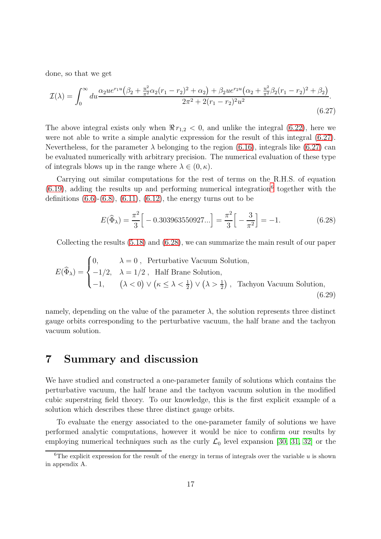done, so that we get

$$
\mathcal{I}(\lambda) = \int_0^\infty du \frac{\alpha_2 u e^{r_1 u} \left(\beta_2 + \frac{u^2}{\pi^2} \alpha_2 (r_1 - r_2)^2 + \alpha_2\right) + \beta_2 u e^{r_2 u} \left(\alpha_2 + \frac{u^2}{\pi^2} \beta_2 (r_1 - r_2)^2 + \beta_2\right)}{2\pi^2 + 2(r_1 - r_2)^2 u^2}.
$$
\n(6.27)

The above integral exists only when  $\Re r_{1,2} < 0$ , and unlike the integral [\(6.22\)](#page-15-1), here we were not able to write a simple analytic expression for the result of this integral [\(6.27\)](#page-16-1). Nevertheless, for the parameter  $\lambda$  belonging to the region [\(6.16\)](#page-14-0), integrals like [\(6.27\)](#page-16-1) can be evaluated numerically with arbitrary precision. The numerical evaluation of these type of integrals blows up in the range where  $\lambda \in (0, \kappa)$ .

Carrying out similar computations for the rest of terms on the R.H.S. of equation  $(6.19)$ , adding the results up and performing numerical integration<sup>[6](#page-16-2)</sup> together with the definitions  $(6.6)-(6.8)$  $(6.6)-(6.8)$ ,  $(6.11)$ ,  $(6.12)$ , the energy turns out to be

<span id="page-16-3"></span><span id="page-16-1"></span>
$$
E(\widehat{\Phi}_{\lambda}) = \frac{\pi^2}{3} \Big[ -0.303963550927... \Big] = \frac{\pi^2}{3} \Big[ -\frac{3}{\pi^2} \Big] = -1.
$$
 (6.28)

Collecting the results [\(5.18\)](#page-12-3) and [\(6.28\)](#page-16-3), we can summarize the main result of our paper

$$
E(\widehat{\Phi}_{\lambda}) = \begin{cases} 0, & \lambda = 0, \text{ Perturbative vacuum Solution,} \\ -1/2, & \lambda = 1/2, \text{ Half Branch solution,} \\ -1, & (\lambda < 0) \lor (\kappa \le \lambda < \frac{1}{2}) \lor (\lambda > \frac{1}{2}), \text{ Tachyon Vacuum Solution,} \end{cases}
$$
(6.29)

namely, depending on the value of the parameter  $\lambda$ , the solution represents three distinct gauge orbits corresponding to the perturbative vacuum, the half brane and the tachyon vacuum solution.

### <span id="page-16-0"></span>7 Summary and discussion

We have studied and constructed a one-parameter family of solutions which contains the perturbative vacuum, the half brane and the tachyon vacuum solution in the modified cubic superstring field theory. To our knowledge, this is the first explicit example of a solution which describes these three distinct gauge orbits.

To evaluate the energy associated to the one-parameter family of solutions we have performed analytic computations, however it would be nice to confirm our results by employing numerical techniques such as the curly  $\mathcal{L}_0$  level expansion [\[30,](#page-21-13) [31,](#page-21-14) [32\]](#page-21-15) or the

<span id="page-16-2"></span><sup>&</sup>lt;sup>6</sup>The explicit expression for the result of the energy in terms of integrals over the variable  $u$  is shown in appendix A.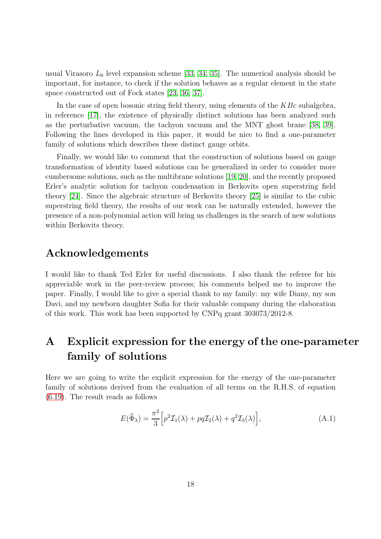usual Virasoro  $L_0$  level expansion scheme [\[33,](#page-21-16) [34,](#page-21-17) [35\]](#page-21-18). The numerical analysis should be important, for instance, to check if the solution behaves as a regular element in the state space constructed out of Fock states [\[23,](#page-21-7) [36,](#page-22-0) [37\]](#page-22-1).

In the case of open bosonic string field theory, using elements of the  $KBc$  subalgebra, in reference [\[17\]](#page-21-0), the existence of physically distinct solutions has been analyzed such as the perturbative vacuum, the tachyon vacuum and the MNT ghost brane [\[38,](#page-22-2) [39\]](#page-22-3). Following the lines developed in this paper, it would be nice to find a one-parameter family of solutions which describes these distinct gauge orbits.

Finally, we would like to comment that the construction of solutions based on gauge transformation of identity based solutions can be generalized in order to consider more cumbersome solutions, such as the multibrane solutions [\[19,](#page-21-2) [20\]](#page-21-3), and the recently proposed Erler's analytic solution for tachyon condensation in Berkovits open superstring field theory [\[24\]](#page-21-4). Since the algebraic structure of Berkovits theory [\[25\]](#page-21-8) is similar to the cubic superstring field theory, the results of our work can be naturally extended, however the presence of a non-polynomial action will bring us challenges in the search of new solutions within Berkovits theory.

### Acknowledgements

I would like to thank Ted Erler for useful discussions. I also thank the referee for his appreciable work in the peer-review process; his comments helped me to improve the paper. Finally, I would like to give a special thank to my family: my wife Diany, my son Davi, and my newborn daughter Sofia for their valuable company during the elaboration of this work. This work has been supported by CNPq grant 303073/2012-8.

## <span id="page-17-0"></span>A Explicit expression for the energy of the one-parameter family of solutions

Here we are going to write the explicit expression for the energy of the one-parameter family of solutions derived from the evaluation of all terms on the R.H.S. of equation [\(6.19\)](#page-14-1). The result reads as follows

$$
E(\widehat{\Phi}_{\lambda}) = \frac{\pi^2}{3} \Big[ p^2 \mathcal{I}_1(\lambda) + pq \mathcal{I}_2(\lambda) + q^2 \mathcal{I}_3(\lambda) \Big], \tag{A.1}
$$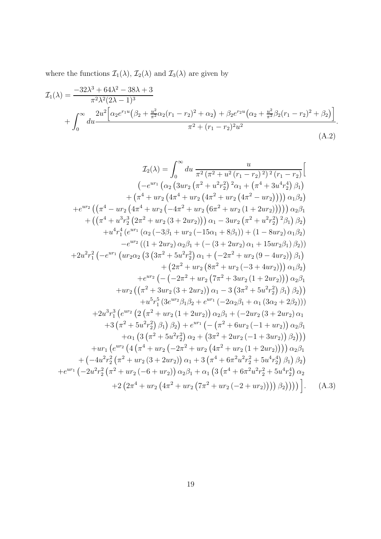where the functions  $\mathcal{I}_1(\lambda)$ ,  $\mathcal{I}_2(\lambda)$  and  $\mathcal{I}_3(\lambda)$  are given by

$$
\mathcal{I}_{1}(\lambda) = \frac{-32\lambda^{3} + 64\lambda^{2} - 38\lambda + 3}{\pi^{2}\lambda^{2}(2\lambda - 1)^{3}} + \int_{0}^{\infty} \frac{2u^{2}\left[\alpha_{2}e^{r_{1}u}(\beta_{2} + \frac{u^{2}}{\pi^{2}}\alpha_{2}(r_{1} - r_{2})^{2} + \alpha_{2}) + \beta_{2}e^{r_{2}u}(\alpha_{2} + \frac{u^{2}}{\pi^{2}}\beta_{2}(r_{1} - r_{2})^{2} + \beta_{2})\right]}{\pi^{2} + (r_{1} - r_{2})^{2}u^{2}}.
$$
\n(A.2)

$$
\mathcal{I}_2(\lambda) = \int_0^\infty du \, \frac{u}{\pi^2 (\pi^2 + u^2 (r_1 - r_2)^2)^2 (r_1 - r_2)} \Big[
$$
  
\n
$$
(-e^{ur_1} (\alpha_2 (3ur_2 (\pi^2 + u^2 r_2^2)^2 \alpha_1 + (\pi^4 + 3u^4 r_2^4) \beta_1)
$$
  
\n
$$
+ (\pi^4 + ur_2 (4\pi^4 + ur_2 (4\pi^2 + ur_2 (4\pi^2 - ur_2)))) \alpha_1 \beta_2)
$$
  
\n
$$
+ e^{ur_2} ((\pi^4 - ur_2 (4\pi^4 + ur_2 (-4\pi^2 + ur_2 (6\pi^2 + ur_2 (1 + 2ur_2)))))) \alpha_2 \beta_1
$$
  
\n
$$
+ ((\pi^4 + u^3 r_2^3 (2\pi^2 + ur_2 (3 + 2ur_2))) \alpha_1 - 3ur_2 (\pi^2 + u^2 r_2^2)^2 \beta_1) \beta_2)
$$
  
\n
$$
+ u^4 r_1^4 (e^{ur_1} (\alpha_2 (-3\beta_1 + ur_2 (-15\alpha_1 + 8\beta_1)) + (1 - 8ur_2) \alpha_1 \beta_2))
$$
  
\n
$$
- e^{ur_2} ((1 + 2ur_2) \alpha_2 \beta_1 + (- (3 + 2ur_2) \alpha_1 + 15ur_2 \beta_1) \beta_2))
$$
  
\n
$$
+ 2u^2 r_1^2 (-e^{ur_1} (ur_2 \alpha_2 (3 (3\pi^2 + 5u^2 r_2^2) \alpha_1 + (-2\pi^2 + ur_2 (9 - 4ur_2))) \alpha_1 \beta_2)
$$
  
\n
$$
+ (2\pi^2 + ur_2 (8\pi^2 + ur_2 (1 + 2ur_2))) \alpha_1 \beta_2
$$
  
\n
$$
+ u^2 \alpha_2 ((\pi^2 + 3ur_2 (3 + 2ur_2)) \alpha_1 - 3 (3\pi^2 + 5u^2 r_2^2) \beta_1) \beta_2)
$$
  
\n
$$
+ u^5 r_1^5 (3e^{ur_2} \beta_1 \beta_2 + e^{ur_1} (-2\alpha_2 \beta_1 + \
$$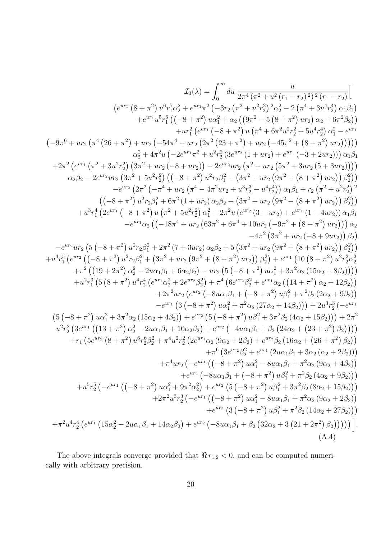$$
I_3(\lambda)=\int_{0}^{\infty}du\; \frac{u}{2\pi^4(\pi^2+u^2(\tau_1-r_2)^2)^2(\tau_1-r_2)}\left[\\(e^{ur_1}\left(8+\pi^2\right)u^6\tau_1^7\alpha_2^2+e^{ur_1}\pi^2\left(-3r_2\left(\pi^2+u^2\tau_2^2\right)\alpha_2^2-2\left(\pi^4+3u^4\tau_2^4\right)\alpha_1\beta_1\right)\right.\\ \left.+e^{ur_1}u^5r_1^6\left((-8+\pi^2)\,u\alpha_1^2+u^2\right)\left(4\pi^4+6\pi^2u^2\tau_2^2+5u^4\tau_2^4\right)\alpha_1\beta_1\right]\\ \left.-9\pi^6+ur_2\left(\pi^4\left(26+\pi^2\right)+ur_2\left(-54\pi^4+ur_2\left(2\pi^2\left(23+\pi^2\right)\right)u\left(\pi^4+6\pi^2u^2\tau_2^2+5u^4\tau_2^4\right)\alpha_1^2-e^{ur_1}\left(-9\pi^6+ur_2\left(\pi^4+3u^2\tau_2^2\right)\left(3\pi^2+ur_2\left(-54\pi^4+ur_2\left(2\pi^2\left(23+\pi^2\right)\right)u\left(\pi^4+4\pi^2u^2\right)\right)\right)\right)\right]\alpha_2^2+4\pi^2u\left(-2e^{ur_1}\pi^2+u^2\tau_2^2\left(38^{ur_2}\left(1+ur_2\right)+e^{ur_1}\left(-3+2ur_2\right)\right)\right)\right)\alpha_2^2+4\pi^2u\left(2\pi^2+4u^2\left(2\pi^2\left(2\pi^2+4u^2\right)\left(5\pi^2+3ur_2\left(5+3ur_2\right)\right)\right)\right)\alpha_2^2-2e^{ur_2}ur_2\left(3\pi^2+5u^2\tau_2^2\right)\left((-8+\pi^2)\,u^2\tau_2^2\right)^2+4\pi^2u^2\left(2\pi^2+4u^2\tau_2^2\left(5\pi^2+3ur_2\left(5\pi^2+3ur_2\right)\right)\right)\alpha_2^2\
$$

The above integrals converge provided that  $\Re r_{1,2} < 0$ , and can be computed numerically with arbitrary precision.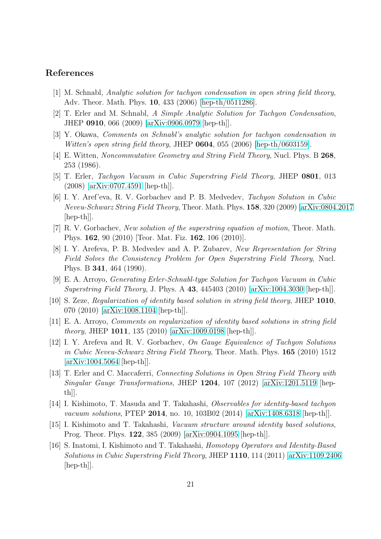#### <span id="page-20-0"></span>References

- <span id="page-20-1"></span>[1] M. Schnabl, Analytic solution for tachyon condensation in open string field theory, Adv. Theor. Math. Phys. 10, 433 (2006) [\[hep-th/0511286\]](http://arxiv.org/abs/hep-th/0511286).
- <span id="page-20-2"></span>[2] T. Erler and M. Schnabl, A Simple Analytic Solution for Tachyon Condensation, JHEP 0910, 066 (2009) [\[arXiv:0906.0979](http://arxiv.org/abs/0906.0979) [hep-th]].
- <span id="page-20-3"></span>[3] Y. Okawa, Comments on Schnabl's analytic solution for tachyon condensation in Witten's open string field theory, JHEP 0604, 055 (2006) [\[hep-th/0603159\]](http://arxiv.org/abs/hep-th/0603159).
- <span id="page-20-4"></span>[4] E. Witten, Noncommutative Geometry and String Field Theory, Nucl. Phys. B 268, 253 (1986).
- <span id="page-20-5"></span>[5] T. Erler, Tachyon Vacuum in Cubic Superstring Field Theory, JHEP 0801, 013 (2008) [\[arXiv:0707.4591](http://arxiv.org/abs/0707.4591) [hep-th]].
- [6] I. Y. Aref'eva, R. V. Gorbachev and P. B. Medvedev, Tachyon Solution in Cubic Neveu-Schwarz String Field Theory, Theor. Math. Phys. 158, 320 (2009) [\[arXiv:0804.2017](http://arxiv.org/abs/0804.2017)  $\vert \text{hep-th} \vert$ .
- <span id="page-20-7"></span><span id="page-20-6"></span>[7] R. V. Gorbachev, New solution of the superstring equation of motion, Theor. Math. Phys. 162, 90 (2010) [Teor. Mat. Fiz. 162, 106 (2010)].
- [8] I. Y. Arefeva, P. B. Medvedev and A. P. Zubarev, New Representation for String Field Solves the Consistency Problem for Open Superstring Field Theory, Nucl. Phys. B 341, 464 (1990).
- <span id="page-20-9"></span><span id="page-20-8"></span>[9] E. A. Arroyo, Generating Erler-Schnabl-type Solution for Tachyon Vacuum in Cubic Superstring Field Theory, J. Phys. A 43, 445403 (2010) [\[arXiv:1004.3030](http://arxiv.org/abs/1004.3030) [hep-th]].
- <span id="page-20-10"></span>[10] S. Zeze, Regularization of identity based solution in string field theory, JHEP 1010, 070 (2010) [\[arXiv:1008.1104](http://arxiv.org/abs/1008.1104) [hep-th]].
- <span id="page-20-11"></span>[11] E. A. Arroyo, Comments on regularization of identity based solutions in string field theory, JHEP 1011, 135 (2010) [\[arXiv:1009.0198](http://arxiv.org/abs/1009.0198) [hep-th]].
- [12] I. Y. Arefeva and R. V. Gorbachev, On Gauge Equivalence of Tachyon Solutions in Cubic Neveu-Schwarz String Field Theory, Theor. Math. Phys. 165 (2010) 1512  $\arXiv:1004.5064$  [hep-th]].
- <span id="page-20-12"></span>[13] T. Erler and C. Maccaferri, Connecting Solutions in Open String Field Theory with Singular Gauge Transformations, JHEP 1204, 107 (2012) [\[arXiv:1201.5119](http://arxiv.org/abs/1201.5119) [hepth]].
- <span id="page-20-14"></span><span id="page-20-13"></span>[14] I. Kishimoto, T. Masuda and T. Takahashi, Observables for identity-based tachyon vacuum solutions, PTEP 2014, no. 10, 103B02 (2014) [\[arXiv:1408.6318](http://arxiv.org/abs/1408.6318) [hep-th]].
- <span id="page-20-15"></span>[15] I. Kishimoto and T. Takahashi, Vacuum structure around identity based solutions, Prog. Theor. Phys. 122, 385 (2009) [\[arXiv:0904.1095](http://arxiv.org/abs/0904.1095) [hep-th]].
- [16] S. Inatomi, I. Kishimoto and T. Takahashi, Homotopy Operators and Identity-Based Solutions in Cubic Superstring Field Theory, JHEP 1110, 114 (2011) [\[arXiv:1109.2406](http://arxiv.org/abs/1109.2406) [hep-th]].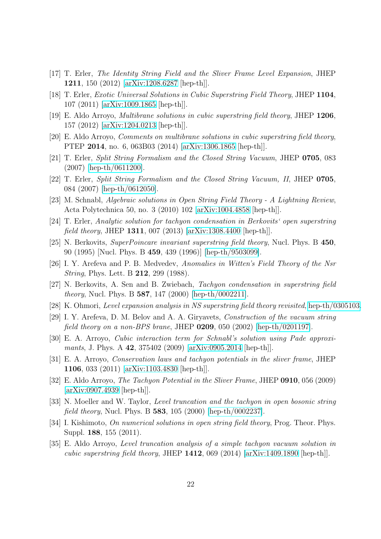- <span id="page-21-1"></span><span id="page-21-0"></span>[17] T. Erler, The Identity String Field and the Sliver Frame Level Expansion, JHEP 1211, 150 (2012) [\[arXiv:1208.6287](http://arxiv.org/abs/1208.6287) [hep-th]].
- <span id="page-21-2"></span>[18] T. Erler, Exotic Universal Solutions in Cubic Superstring Field Theory, JHEP 1104, 107 (2011) [\[arXiv:1009.1865](http://arxiv.org/abs/1009.1865) [hep-th]].
- <span id="page-21-3"></span>[19] E. Aldo Arroyo, Multibrane solutions in cubic superstring field theory, JHEP 1206, 157 (2012) [\[arXiv:1204.0213](http://arxiv.org/abs/1204.0213) [hep-th]].
- <span id="page-21-5"></span>[20] E. Aldo Arroyo, *Comments on multibrane solutions in cubic superstring field theory*, PTEP 2014, no. 6, 063B03 (2014) [\[arXiv:1306.1865](http://arxiv.org/abs/1306.1865) [hep-th]].
- <span id="page-21-6"></span>[21] T. Erler, Split String Formalism and the Closed String Vacuum, JHEP 0705, 083 (2007) [\[hep-th/0611200\]](http://arxiv.org/abs/hep-th/0611200).
- <span id="page-21-7"></span>[22] T. Erler, Split String Formalism and the Closed String Vacuum, II, JHEP 0705, 084 (2007) [\[hep-th/0612050\]](http://arxiv.org/abs/hep-th/0612050).
- <span id="page-21-4"></span>[23] M. Schnabl, Algebraic solutions in Open String Field Theory - A Lightning Review, Acta Polytechnica 50, no. 3 (2010) 102 [\[arXiv:1004.4858](http://arxiv.org/abs/1004.4858) [hep-th]].
- <span id="page-21-8"></span>[24] T. Erler, Analytic solution for tachyon condensation in Berkovits' open superstring field theory, JHEP 1311, 007 (2013) [\[arXiv:1308.4400](http://arxiv.org/abs/1308.4400) [hep-th]].
- <span id="page-21-9"></span>[25] N. Berkovits, SuperPoincare invariant superstring field theory, Nucl. Phys. B 450, 90 (1995) [Nucl. Phys. B 459, 439 (1996)] [\[hep-th/9503099\]](http://arxiv.org/abs/hep-th/9503099).
- <span id="page-21-10"></span>[26] I. Y. Arefeva and P. B. Medvedev, Anomalies in Witten's Field Theory of the Nsr String, Phys. Lett. B 212, 299 (1988).
- <span id="page-21-12"></span>[27] N. Berkovits, A. Sen and B. Zwiebach, Tachyon condensation in superstring field theory, Nucl. Phys. B 587, 147 (2000) [\[hep-th/0002211\]](http://arxiv.org/abs/hep-th/0002211).
- <span id="page-21-11"></span>[28] K. Ohmori, Level expansion analysis in NS superstring field theory revisited, [hep-th/0305103.](http://arxiv.org/abs/hep-th/0305103)
- <span id="page-21-13"></span>[29] I. Y. Arefeva, D. M. Belov and A. A. Giryavets, Construction of the vacuum string field theory on a non-BPS brane, JHEP  $0209$ , 050 (2002) [\[hep-th/0201197\]](http://arxiv.org/abs/hep-th/0201197).
- <span id="page-21-14"></span>[30] E. A. Arroyo, Cubic interaction term for Schnabl's solution using Pade approxi-mants, J. Phys. A 42, 375402 (2009) [\[arXiv:0905.2014](http://arxiv.org/abs/0905.2014) [hep-th]].
- <span id="page-21-15"></span>[31] E. A. Arroyo, Conservation laws and tachyon potentials in the sliver frame, JHEP 1106, 033 (2011) [\[arXiv:1103.4830](http://arxiv.org/abs/1103.4830) [hep-th]].
- <span id="page-21-16"></span>[32] E. Aldo Arroyo, The Tachyon Potential in the Sliver Frame, JHEP 0910, 056 (2009) [\[arXiv:0907.4939](http://arxiv.org/abs/0907.4939) [hep-th]].
- <span id="page-21-17"></span>[33] N. Moeller and W. Taylor, *Level truncation and the tachyon in open bosonic string* field theory, Nucl. Phys. B 583, 105 (2000) [\[hep-th/0002237\]](http://arxiv.org/abs/hep-th/0002237).
- <span id="page-21-18"></span>[34] I. Kishimoto, *On numerical solutions in open string field theory*, Prog. Theor. Phys. Suppl. 188, 155 (2011).
- [35] E. Aldo Arroyo, Level truncation analysis of a simple tachyon vacuum solution in cubic superstring field theory, JHEP  $1412$ , 069 (2014) [\[arXiv:1409.1890](http://arxiv.org/abs/1409.1890) [hep-th]].